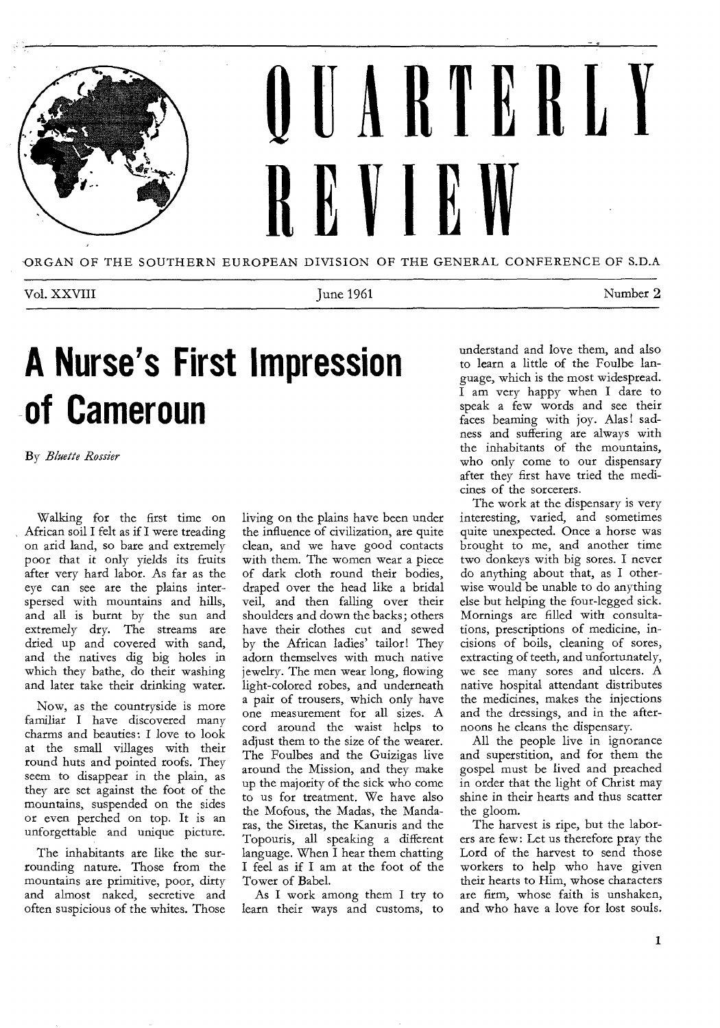

Vol. XXVIII Number 2

# **A Nurse's First Impression of Cameroun**

By Bluette Rossier

Walking for the first time on African soil I felt as if I were treading on arid land, so bare and extremely poor that it only yields its fruits after very hard labor. As far as the eye can see are the plains interspersed with mountains and hills, and all is burnt by the sun and extremely dry. The streams are dried up and covered with sand, and the natives dig big holes in which they bathe, do their washing and later take their drinking water.

Now, as the countryside is more familiar I have discovered many charms and beauties: I love to look at the small villages with their round huts and pointed roofs. They seem to disappear in the plain, as they are set against the foot of the mountains, suspended on the sides or even perched on top. It is an unforgettable and unique picture.

The inhabitants are like the surrounding nature. Those from the mountains are primitive, poor, dirty and almost naked, secretive and often suspicious of the whites. Those

living on the plains have been under the influence of civilization, are quite clean, and we have good contacts with them. The women wear a piece of dark cloth round their bodies, draped over the head like a bridal veil, and then falling over their shoulders and down the backs; others have their clothes cut and sewed by the African ladies' tailor! They adorn themselves with much native jewelry. The men wear long, flowing light-colored robes, and underneath a pair of trousers, which only have one measurement for all sizes. A cord around the waist helps to adjust them to the size of the wearer. The Foulbes and the Guizigas live around the Mission, and they make up the majority of the sick who come to us for treatment. We have also the Mofous, the Madas, the Mandaras, the Siretas, the Kanuris and the Topouris, all speaking a different language. When I hear them chatting I feel as if I am at the foot of the Tower of Babel.

As I work among them I try to learn their ways and customs, to understand and love them, and also to learn a little of the Foulbe language, which is the most widespread.  $\overline{I}$  am very happy when I dare to speak a few words and see their faces beaming with joy. Alas! sadness and suffering are always with the inhabitants of the mountains, who only come to our dispensary after they first have tried the medicines of the sorcerers.

The work at the dispensary is very interesting, varied, and sometimes quite unexpected. Once a horse was brought to me, and another time two donkeys with big sores. I never do anything about that, as I otherwise would be unable to do anything else but helping the four-legged sick. Mornings are filled with consultations, prescriptions of medicine, incisions of boils, cleaning of sores, extracting of teeth, and unfortunately, we see many sores and ulcers. A native hospital attendant distributes the medicines, makes the injections and the dressings, and in the afternoons he cleans the dispensary.

All the people live in ignorance and superstition, and for them the gospel must be lived and preached in order that the light of Christ may shine in their hearts and thus scatter the gloom.

The harvest is ripe, but the laborers are few: Let us therefore pray the Lord of the harvest to send those workers to help who have given their hearts to Him, whose characters are firm, whose faith is unshaken, and who have a love for lost souls.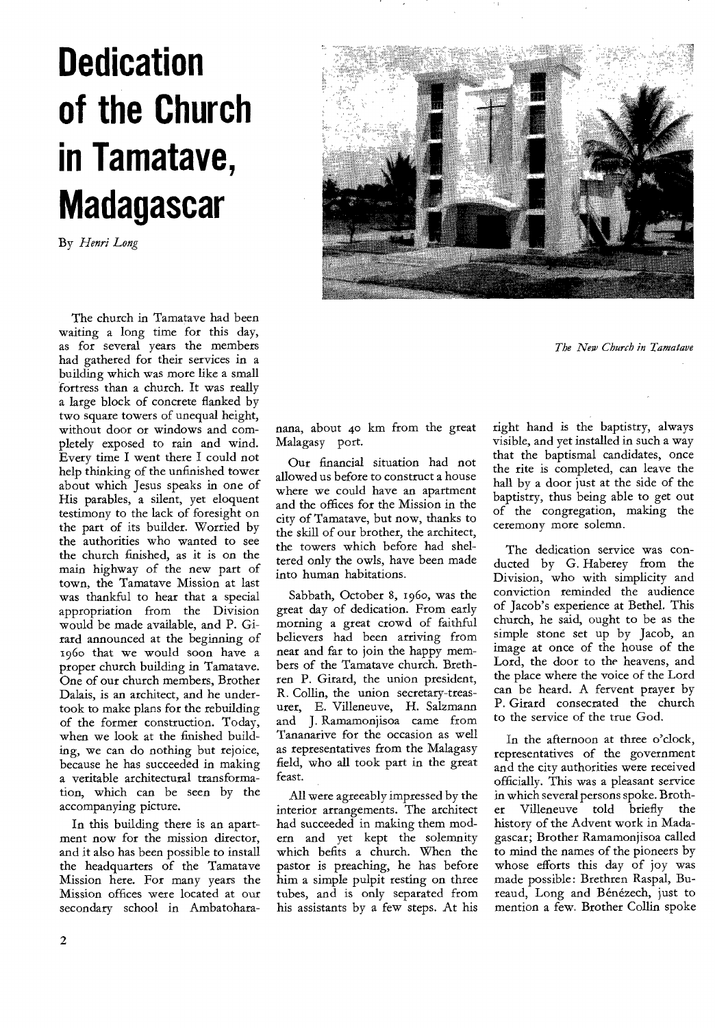# **Dedication of the Church in Tamatave, Madagascar**

By *Henri Long* 

The church in Tamatave had been waiting a long time for this day, as for several years the members had gathered for their services in a building which was more like a small fortress than a church. It was really a large block of concrete flanked by two square towers of unequal height, without door or windows and completely exposed to rain and wind. Every time I went there I could not help thinking of the unfinished tower about which Jesus speaks in one of His parables, a silent, yet eloquent testimony to the lack of foresight on the part of its builder. Worried by the authorities who wanted to see the church finished, as it is on the main highway of the new part of town, the Tamatave Mission at last was thankful to hear that a special appropriation from the Division would be made available, and P. Girard announced at the beginning of 196o that we would soon have a proper church building in Tamatave. One of our church members, Brother Dalais, is an architect, and he undertook to make plans for the rebuilding of the former construction. Today, when we look at the finished building, we can do nothing but rejoice, because he has succeeded in making a veritable architectural transformation, which can be seen by the accompanying picture.

In this building there is an apartment now for the mission director, and it also has been possible to install the headquarters of the Tamatave Mission here. For many years the Mission offices were located at our secondary school in Ambatohara-



*The New Church in Tamatave* 

nana, about 4o km from the great Malagasy port.

Our financial situation had not allowed us before to construct a house where we could have an apartment and the offices for the Mission in the city of Tamatave, but now, thanks to the skill of our brother, the architect, the towers which before had sheltered only the owls, have been made into human habitations.

Sabbath, October 8, 196o, was the great day of dedication. From early morning a great crowd of faithful believers had been arriving from near and far to join the happy members of the Tamatave church. Brethren P. Girard, the union president, R. Collin, the union secretary-treasurer, E. Villeneuve, H. Salzmann and J. Ramamonjisoa came from Tananarive for the occasion as well as representatives from the Malagasy field, who all took part in the great feast.

All were agreeably impressed by the interior arrangements. The architect had succeeded in making them modern and yet kept the solemnity which befits a church. When the pastor is preaching, he has before him a simple pulpit resting on three tubes, and is only separated from his assistants by a few steps. At his

right hand is the baptistry, always visible, and yet installed in such a way that the baptismal candidates, once the rite is completed, can leave the hall by a door just at the side of the baptistry, thus being able to get out of the congregation, making the ceremony more solemn.

The dedication service was conducted by G. Haberey from the Division, who with simplicity and conviction reminded the audience of Jacob's experience at Bethel. This church, he said, ought to be as the simple stone set up by Jacob, an image at once of the house of the Lord, the door to the heavens, and the place where the voice of the Lord can be heard. A fervent prayer by P. Girard consecrated the church to the service of the true God.

In the afternoon at three o'clock, representatives of the government and the city authorities were received officially. This was a pleasant service in which several persons spoke. Brother Villeneuve told briefly the history of the Advent work in Madagascar; Brother Ramamonjisoa called to mind the names of the pioneers by whose efforts this day of joy was made possible: Brethren Raspal, Bureaud, Long and Bénézech, just to mention a few. Brother Collin spoke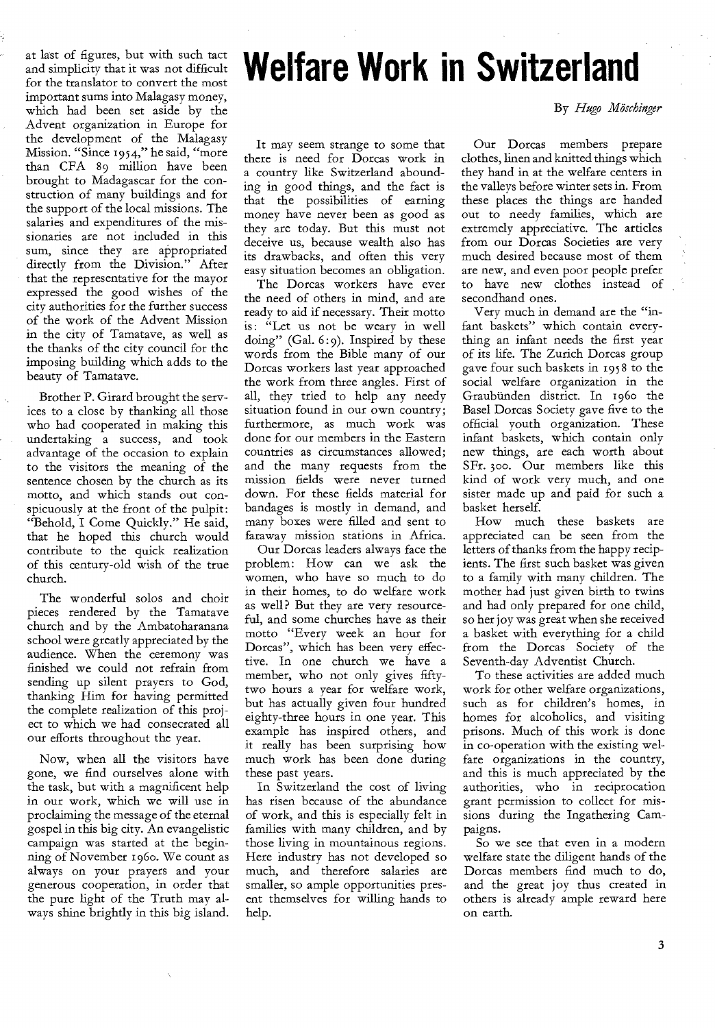at last of figures, but with such tact and simplicity that it was not difficult for the translator to convert the most important sums into Malagasy money, which had been set aside by the Advent organization in Europe for the development of the Malagasy Mission. "Since 1954," he said, "more than CFA 89 million have been brought to Madagascar for the construction of many buildings and for the support of the local missions. The salaries and expenditures of the missionaries are not included in this sum, since they are appropriated directly from the Division." After that the representative for the mayor expressed the good wishes of the city authorities for the further success of the work of the Advent Mission in the city of Tamatave, as well as the thanks of the city council for the imposing building which adds to the beauty of Tamatave.

Brother P. Girard brought the services to a close by thanking all those who had cooperated in making this undertaking a success, and took advantage of the occasion to explain to the visitors the meaning of the sentence chosen by the church as its motto, and which stands out conspicuously at the front of the pulpit: "Behold, I Come Quickly." He said, that he hoped this church would contribute to the quick realization of this century-old wish of the true church.

The wonderful solos and choir pieces rendered by the Tamatave church and by the Ambatoharanana school were greatly appreciated by the audience. When the ceremony was finished we could not refrain from sending up silent prayers to God, thanking Him for having permitted the complete realization of this project to which we had consecrated all our efforts throughout the year.

Now, when all the visitors have gone, we find ourselves alone with the task, but with a magnificent help in our work, which we will use in proclaiming the message of the eternal gospel in this big city. An evangelistic campaign was started at the beginning of November 1960. We count as always on your prayers and your generous cooperation, in order that the pure light of the Truth may always shine brightly in this big island.

It may seem strange to some that there is need for Dorcas work in a country like Switzerland abounding in good things, and the fact is that the possibilities of earning money have never been as good as they are today. But this must not deceive us, because wealth also has its drawbacks, and often this very easy situation becomes an obligation.

**Welfare Work in Switzerland** 

The Dorcas workers have ever the need of others in mind, and are ready to aid if necessary. Their motto is: "Let us not be weary in well doing" (Gal. 6:9). Inspired by these words from the Bible many of our Dorcas workers last year approached the work from three angles. First of all, they tried to help any needy situation found in our own country; furthermore, as much work was done for our members in the Eastern countries as circumstances allowed; and the many requests from the mission fields were never turned down. For these fields material for bandages is mostly in demand, and many boxes were filled and sent to faraway mission stations in Africa.

Our Dorcas leaders always face the problem: How can we ask the women, who have so much to do in their homes, to do welfare work as well? But they are very resourceful, and some churches have as their motto "Every week an hour for Dorcas", which has been very effective. In one church we have a member, who not only gives fiftytwo hours a year for welfare work, but has actually given four hundred eighty-three hours in one year. This example has inspired others, and it really has been surprising how much work has been done during these past years.

In Switzerland the cost of living has risen because of the abundance of work, and this is especially felt in families with many children, and by those living in mountainous regions. Here industry has not developed so much, and therefore salaries are smaller, so ample opportunities present themselves for willing hands to help.

By *Hugo Moschinger* 

Our Dorcas members prepare clothes, linen and knitted things which they hand in at the welfare centers in the valleys before winter sets in. From these places the things are handed out to needy families, which are extremely appreciative. The articles from our Dorcas Societies are very much desired because most of them are new, and even poor people prefer to have new clothes instead of secondhand ones.

Very much in demand are the "infant baskets" which contain everything an infant needs the first year of its life. The Zurich Dorcas group gave four such baskets in 1958 to the social welfare organization in the Graubunden district. In 196o the Basel Dorcas Society gave five to the official youth organization. These infant baskets, which contain only new things, are each worth about SFr. 3oo. Our members like this kind of work very much, and one sister made up and paid for such a basket herself.

How much these baskets are appreciated can be seen from the letters of thanks from the happy recipients. The first such basket was given to a family with many children. The mother had just given birth to twins and had only prepared for one child, so her joy was great when she received a basket with everything for a child from the Dorcas Society of the Seventh-day Adventist Church.

To these activities are added much work for other welfare organizations, such as for children's homes, in homes for alcoholics, and visiting prisons. Much of this work is done in co-operation with the existing welfare organizations in the country, and this is much appreciated by the authorities, who in reciprocation grant permission to collect for missions during the Ingathering Campaigns.

So we see that even in a modern welfare state the diligent hands of the Dorcas members find much to do, and the great joy thus created in others is already ample reward here on earth.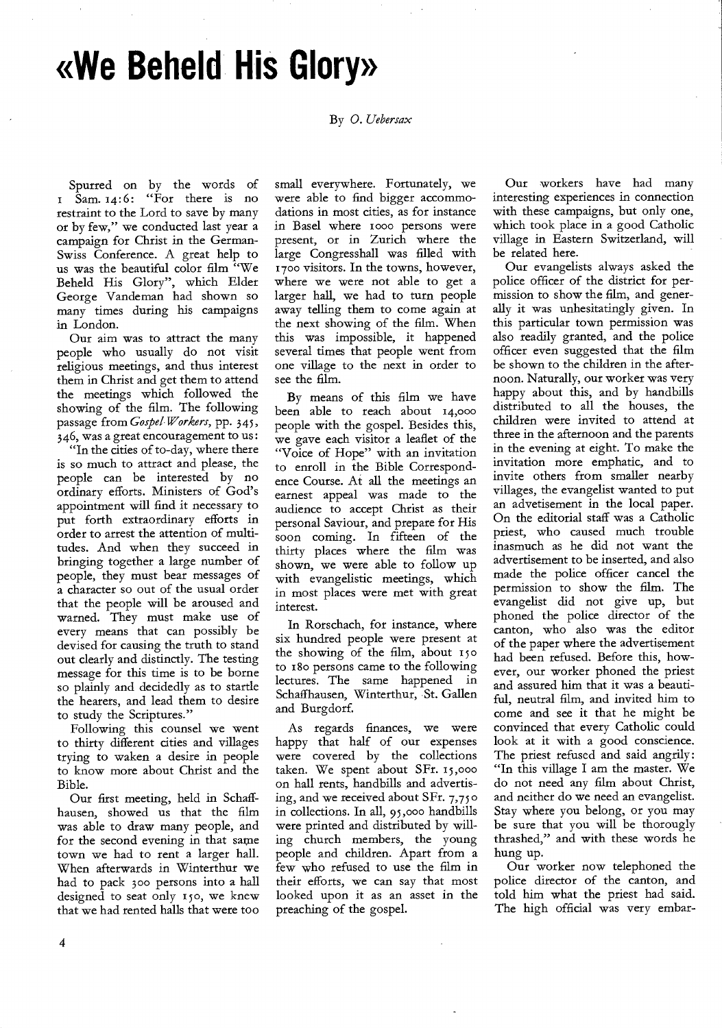**ale Beheld His Glory»** 

By *0. Uebersax* 

Spurred on by the words of  $\overline{1}$  Sam.  $14:6:$  "For there is no restraint to the Lord to save by many or by few," we conducted last year a campaign for Christ in the German-Swiss Conference. A great help to us was the beautiful color film "We Beheld His Glory", which Elder George Vandeman had shown so many times during his campaigns in London.

Our aim was to attract the many people who usually do not visit religious meetings, and thus interest them in Christ and get them to attend the meetings which followed the showing of the film. The following passage from *Gospel Workers,* pp. 345, 346, was a great encouragement to us:

"In the cities of to-day, where there is so much to attract and please, the people can be interested by no ordinary efforts. Ministers of God's appointment will find it necessary to put forth extraordinary efforts in order to arrest the attention of multitudes. And when they succeed in bringing together a large number of people, they must bear messages of a character so out of the usual order that the people will be aroused and warned. They must make use of every means that can possibly be devised for causing the truth to stand out clearly and distinctly. The testing message for this time is to be borne so plainly and decidedly as to startle the hearers, and lead them to desire to study the Scriptures."

Following this counsel we went to thirty different cities and villages trying to waken a desire in people to know more about Christ and the Bible.

Our first meeting, held in Schaffhausen, showed us that the film was able to draw many people, and for the second evening in that same town we had to rent a larger hall. When afterwards in Winterthur we had to pack 300 persons into a hall designed to seat only 15o, we knew that we had rented halls that were too small everywhere. Fortunately, we were able to find bigger accommodations in most cities, as for instance in Basel where 1000 persons were present, or in Zurich where the large Congresshall was filled with 1700 visitors. In the towns, however, where we were not able to get a larger hall, we had to turn people away telling them to come again at the next showing of the film. When this was impossible, it happened several times that people went from one village to the next in order to see the film.

By means of this film we have been able to reach about 14,000 people with the gospel. Besides this, we gave each visitor a leaflet of the "Voice of Hope" with an invitation to enroll in the Bible Correspondence Course. At all the meetings an earnest appeal was made to the audience to accept Christ as their personal Saviour, and prepare for His soon coming. In fifteen of the thirty places where the film was shown, we were able to follow up with evangelistic meetings, which in most places were met with great interest.

In Rorschach, for instance, where six hundred people were present at the showing of the film, about 15o to i8o persons came to the following lectures. The same happened in Schaffhausen, Winterthur, St. Gallen and Burgdorf.

As regards finances, we were happy that half of our expenses were covered by the collections taken. We spent about SFr. 15,000 on hall rents, handbills and advertising, and we received about SFr. *7,750*  in collections. In all, 95,000 handbills were printed and distributed by willing church members, the young people and children. Apart from a few who refused to use the film in their efforts, we can say that most looked upon it as an asset in the preaching of the gospel.

Our workers have had many interesting experiences in connection with these campaigns, but only one, which took place in a good Catholic village in Eastern Switzerland, will be related here.

Our evangelists always asked the police officer of the district for permission to show the film, and generally it was unhesitatingly given. In this particular town permission was also readily granted, and the police officer even suggested that the film be shown to the children in the afternoon. Naturally, our worker was very happy about this, and by handbills distributed to all the houses, the children were invited to attend at three in the afternoon and the parents in the evening at eight. To make the invitation more emphatic, and to invite others from smaller nearby villages, the evangelist wanted to put an advetisement in the local paper. On the editorial staff was a Catholic priest, who caused much trouble inasmuch as he did not want the advertisement to be inserted, and also made the police officer cancel the permission to show the film. The evangelist did not give up, but phoned the police director of the canton, who also was the editor of the paper where the advertisement had been refused. Before this, however, our worker phoned the priest and assured him that it was a beautiful, neutral film, and invited him to come and see it that he might be convinced that every Catholic could look at it with a good conscience. The priest refused and said angrily: "In this village I am the master. We do not need any film about Christ, and neither do we need an evangelist. Stay where you belong, or you may be sure that you will be thorougly thrashed," and with these words he hung up.

Our worker now telephoned the police director of the canton, and told him what the priest had said. The high official was very embar-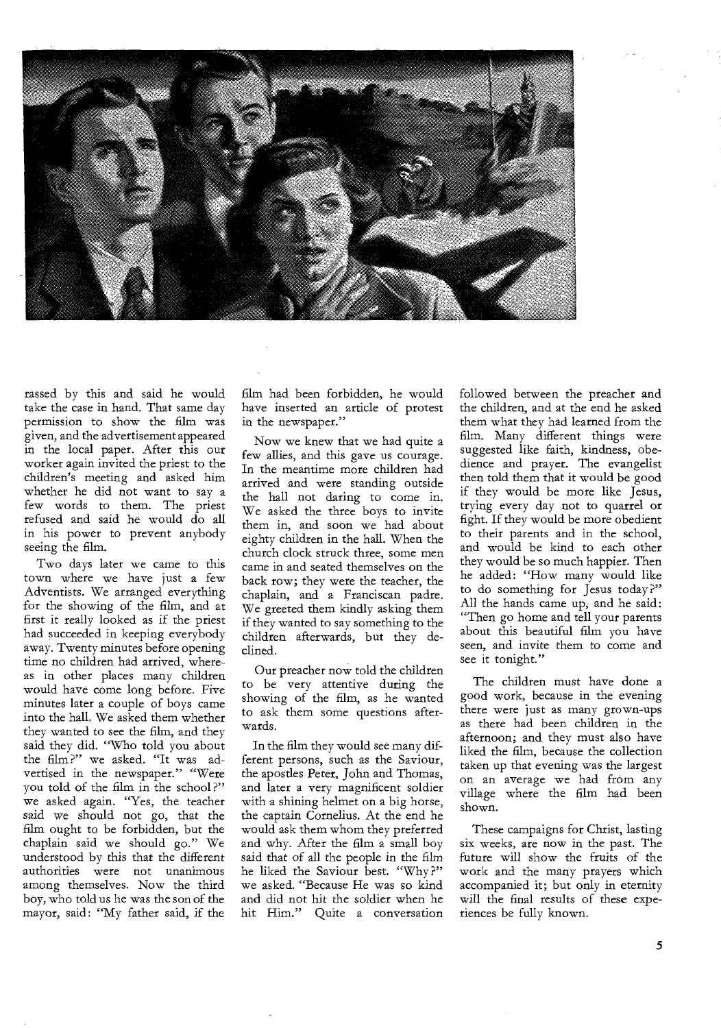

rassed by this and said he would take the case in hand. That same day permission to show the film was given, and the advertisement appeared in the local paper. After this our worker again invited the priest to the children's meeting and asked him whether he did not want to say a few words to them. The priest refused and said he would do all in his power to prevent anybody seeing the film.

Two days later we came to this town where we have just a few Adventists. We arranged everything for the showing of the film, and at first it really looked as if the priest had succeeded in keeping everybody away. Twenty minutes before opening time no children had arrived, whereas in other places many children would have come long before. Five minutes later a couple of boys came into the hall. We asked them whether they wanted to see the film, and they said they did. "Who told you about the film ?" we asked. "It was advertised in the newspaper." "Were you told of the film in the school ?" we asked again. "Yes, the teacher said we should not go, that the film ought to be forbidden, but the chaplain said we should go." We understood by this that the different authorities were not unanimous among themselves. Now the third boy, who told us he was the son of the mayor, said: "My father said, if the

film had been forbidden, he would have inserted an article of protest in the newspaper."

Now we knew that we had quite a few allies, and this gave us courage. In the meantime more children had arrived and were standing outside the hall not daring to come in. We asked the three boys to invite them in, and soon we had about eighty children in the hall. When the church clock struck three, some men came in and seated themselves on the back row; they were the teacher, the chaplain, and a Franciscan padre. We greeted them kindly asking them if they wanted to say something to the children afterwards, but they declined.

Our preacher now told the children to be very attentive during the showing of the film, as he wanted to ask them some questions afterwards.

In the film they would see many different persons, such as the Saviour, the apostles Peter, John and Thomas, and later a very magnificent soldier with a shining helmet on a big horse, the captain Cornelius. At the end he would ask them whom they preferred and why. After the film a small boy said that of all the people in the film he liked the Saviour best. "Why ?" we asked. "Because He was so kind and did not hit the soldier when he hit Him." Quite a conversation followed between the preacher and the children, and at the end he asked them what they had learned from the film. Many different things were suggested like faith, kindness, obedience and prayer. The evangelist then told them that it would be good if they would be more like Jesus, trying every day not to quarrel or fight. If they would be more obedient to their parents and in the school, and would be kind to each other they would be so much happier. Then he added: "How many would like to do something for Jesus today ?" All the hands came up, and he said: "Then go home and tell your parents about this beautiful film you have seen, and invite them to come and see it tonight."

The children must have done a good work, because in the evening there were just as many grown-ups as there had been children in the afternoon; and they must also have liked the film, because the collection taken up that evening was the largest on an average we had from any village where the film had been shown.

These campaigns for Christ, lasting six weeks, are now in the past. The future will show the fruits of the work and the many prayers which accompanied it; but only in eternity will the final results of these experiences be fully known.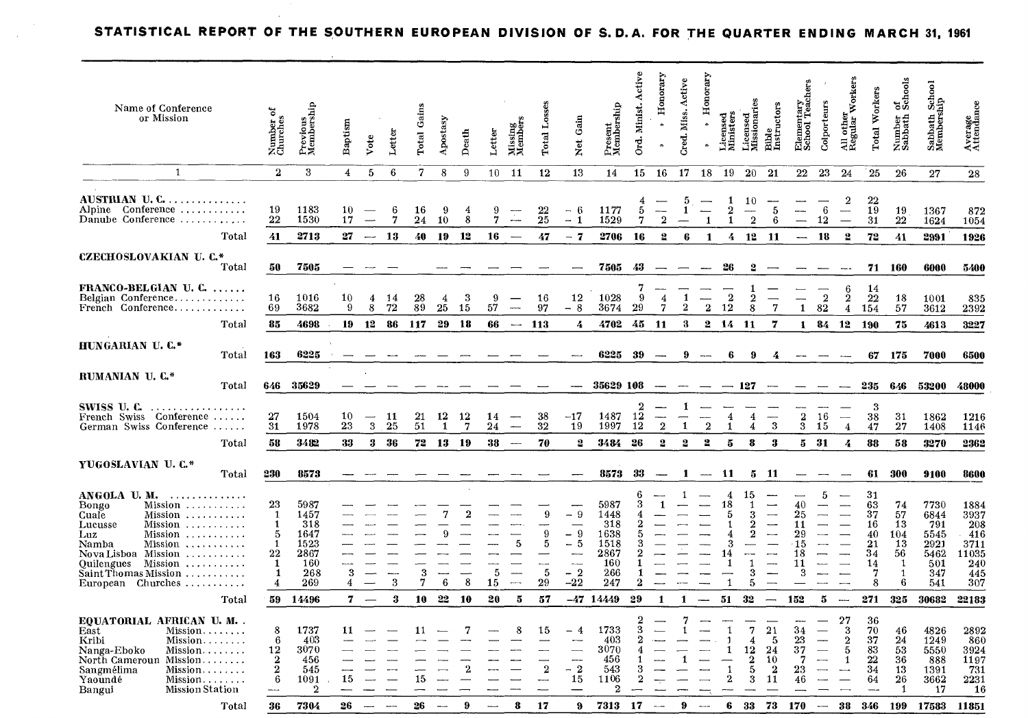### **STATISTICAL REPORT OF THE SOUTHERN EUROPEAN DIVISION OF S.D.A. FOR THE QUARTER ENDING MARCH 31, 1961**

| Name of Conference<br>or Mission                                                                                                                                                                                                                        | ಕ<br>Number o<br>Churches                              | Previous<br>Membership                                           | Baptism        | Vote                               | Letter           | Total Gains     | Apostasy                   | Death                | Letter           | Missing<br>Member                                               | <b>Total</b>                | Gain<br><b>Net</b>                                                   | Present<br>Membership                                            | Active<br>Ord. Minist.        | Honorary<br>$\hat{\mathbf{z}}$   | Active<br>Miss.<br>Cred.      | orary<br>Hon<br>$\bullet$ | Licensed<br>Ministers         | Licensed<br>Missionaries                                 | Bible<br>Instructors                                                                                                                                                         | Elementary<br>School Teach                  | Colporteurs                                                    | <b>Workers</b><br>All other<br>Regular                           | Total Workers                                          | of<br>Schools<br>Number<br>Sabbath                                     | Sabbath School<br>Membership                                     | Average<br>Attendance                                               |
|---------------------------------------------------------------------------------------------------------------------------------------------------------------------------------------------------------------------------------------------------------|--------------------------------------------------------|------------------------------------------------------------------|----------------|------------------------------------|------------------|-----------------|----------------------------|----------------------|------------------|-----------------------------------------------------------------|-----------------------------|----------------------------------------------------------------------|------------------------------------------------------------------|-------------------------------|----------------------------------|-------------------------------|---------------------------|-------------------------------|----------------------------------------------------------|------------------------------------------------------------------------------------------------------------------------------------------------------------------------------|---------------------------------------------|----------------------------------------------------------------|------------------------------------------------------------------|--------------------------------------------------------|------------------------------------------------------------------------|------------------------------------------------------------------|---------------------------------------------------------------------|
| $\mathbf{1}$                                                                                                                                                                                                                                            | $\overline{2}$                                         | 3                                                                | $\overline{4}$ | 5                                  | 6                | $\overline{7}$  | 8                          | -9                   | 10               | 11                                                              | 12                          | 13                                                                   | 14                                                               | 15                            | 16                               | 17                            | 18                        | 19                            | 20                                                       | 21                                                                                                                                                                           | $22\,$                                      | 23                                                             | 24                                                               | 25                                                     | 26                                                                     | 27                                                               | 28                                                                  |
| AUSTRIAN U.C<br>Alpine Conference<br>Danube Conference<br>Total                                                                                                                                                                                         | 19<br>22<br>41                                         | 1183<br>1530<br>2713                                             | 10<br>17<br>27 | $\overline{\phantom{0}}$<br>$\sim$ | 6<br>7<br>-13    | 16<br>24<br>40  | -9<br>10<br>19             | 4<br>8<br>12         | 9<br>7<br>16     | $\overline{\mathbb{Z}}$<br>سيسر                                 | $\substack{22 \\ 25}$<br>47 | $-6$<br>$-1$<br>$-7$                                                 | 1177<br>1529<br>2706                                             | 5<br>7<br>16                  | $\overline{2}$<br>$\overline{2}$ | 5<br>$\mathbf{1}$<br>6        | $\overline{1}$<br>1       | 1<br>$\overline{2}$<br>1<br>4 | 10<br>$\overline{2}$<br>12                               | 5<br>6<br>-11                                                                                                                                                                | $\overline{\phantom{0}}$<br>$\frac{1}{2}$   | 6<br>12<br>18                                                  | $\boldsymbol{2}$<br>$\overline{\phantom{0}}$<br>$\boldsymbol{2}$ | 22<br>19<br>31<br>72                                   | 19<br>22<br>41                                                         | 1367<br>1624<br>2991                                             | 872<br>1054<br>1926                                                 |
| <b>CZECHOSLOVAKIAN U.C.*</b>                                                                                                                                                                                                                            |                                                        |                                                                  |                |                                    |                  |                 |                            |                      |                  |                                                                 |                             |                                                                      |                                                                  |                               |                                  |                               |                           |                               |                                                          |                                                                                                                                                                              |                                             |                                                                |                                                                  |                                                        |                                                                        |                                                                  |                                                                     |
| Total                                                                                                                                                                                                                                                   | 50                                                     | 7505                                                             |                |                                    |                  |                 |                            |                      |                  |                                                                 |                             |                                                                      | 7505                                                             | 43                            | $\overbrace{\hspace{2.5em}}$     |                               |                           | -26                           | 2                                                        |                                                                                                                                                                              |                                             |                                                                |                                                                  | 71                                                     | 160                                                                    | 6000                                                             | 5400                                                                |
| FRANCO-BELGIAN U. C.<br>Belgian Conference<br>French Conference<br>Total                                                                                                                                                                                | 16<br>69<br>85                                         | 1016<br>3682<br>4698                                             | 10<br>9<br>19  | 4<br>8<br>12                       | 14<br>72<br>86   | 28<br>89<br>117 | $\overline{4}$<br>25<br>29 | 3<br>-15<br>- 18     | 9<br>57<br>66    | $\overline{\phantom{a}}$<br>$\overline{\phantom{a}}$            | 16<br>97<br>113             | 12<br>$-8$<br>4                                                      | 1028<br>3674<br>4702                                             | 7<br>-9<br>29<br>45           | $\overline{4}$<br>7<br>-11       | $\mathbf{1}$<br>2<br>$\bf{3}$ | $\bf 2$<br>$\mathbf{2}$   | $\bf 2$<br>12<br>14           | -1<br>$\boldsymbol{2}$<br>8<br>-11                       | $\overline{\phantom{0}}$<br>$\mathbf 7$<br>7                                                                                                                                 | $\mathbf{1}$<br>1                           | $\overline{2}$<br>82<br>84                                     | 6<br>$\frac{2}{4}$<br>12                                         | 14<br>22<br>154<br>190                                 | 18<br>57<br>75                                                         | 1001<br>3612<br>4613                                             | 835<br>2392<br>3227                                                 |
| HUNGARIAN U.C.*                                                                                                                                                                                                                                         |                                                        |                                                                  |                |                                    |                  |                 |                            |                      |                  |                                                                 |                             |                                                                      |                                                                  |                               |                                  |                               |                           |                               |                                                          |                                                                                                                                                                              |                                             |                                                                |                                                                  |                                                        |                                                                        |                                                                  |                                                                     |
| Total                                                                                                                                                                                                                                                   | 163                                                    | 6225                                                             |                |                                    |                  |                 |                            |                      |                  |                                                                 |                             |                                                                      | 6225                                                             | -39                           |                                  | 9                             | $-\cdots$                 | 6                             | 9                                                        |                                                                                                                                                                              |                                             |                                                                |                                                                  | 67                                                     | 175                                                                    | 7000                                                             | 6500                                                                |
| RUMANIAN U.C.*<br>Total                                                                                                                                                                                                                                 | 646                                                    | 35629                                                            |                |                                    |                  |                 |                            |                      |                  |                                                                 |                             |                                                                      | 35629 108                                                        |                               |                                  |                               |                           | $-127$                        |                                                          |                                                                                                                                                                              |                                             |                                                                |                                                                  | 235                                                    | 646                                                                    | 53200                                                            | 48000                                                               |
| SWISS U.C.<br>.<br>French Swiss Conference<br>German Swiss Conference                                                                                                                                                                                   | 27<br>$\overline{31}$                                  | 1504<br>1978                                                     | 10<br>23       | $\overline{\phantom{0}}$<br>3      | 11<br>25         | 21<br>51        | 12<br>1                    | 12<br>$\overline{7}$ | 14<br>24         | $\overline{\phantom{a}}$<br>$\overline{\phantom{a}}$            | 38<br>32                    | $-17$<br>19                                                          | 1487<br>1997                                                     | $\boldsymbol{2}$<br>12<br>12  | $\mathbf{2}$                     | 1                             | $\overline{2}$            | 4<br>$\mathbf{1}$             | 4<br>4                                                   | $\overline{\phantom{0}}$<br>3                                                                                                                                                | $\frac{2}{3}$                               | 16<br>15                                                       | $\overline{\phantom{0}}$<br>$\overline{\mathbf{4}}$              | 3<br>38<br>47                                          | 31<br>27                                                               | 1862<br>1408                                                     | 1216<br>1146                                                        |
| Total                                                                                                                                                                                                                                                   | 58                                                     | 3482                                                             | 33             | 3                                  | -36              | 72              | 13                         | -19                  | 38               |                                                                 | 70                          | $\overline{2}$                                                       | 3484                                                             | 26                            | $\overline{2}$                   | $\mathbf{2}$                  | 2                         | 5                             | 8                                                        | 3                                                                                                                                                                            | 5                                           | -31                                                            | 4                                                                | 88                                                     | 58                                                                     | 3270                                                             | 2362                                                                |
| YUGOSLAVIAN U.C.*<br>Total                                                                                                                                                                                                                              | 230                                                    | 8573                                                             |                |                                    |                  |                 |                            |                      |                  |                                                                 |                             | ---                                                                  | 8573                                                             | 33                            | $\overline{\phantom{a}}$         | 1                             | $-\!-\!$                  | -11                           | 5                                                        | - 11                                                                                                                                                                         | $\frac{1}{2}$                               | $\overline{\phantom{a}}$                                       |                                                                  | 61                                                     | 300                                                                    | 9100                                                             | 8600                                                                |
| ANGOLA U.M.<br>Bongo<br>Mission<br>Cuale<br>Mission<br>Lucusse<br>Mission<br>Mission<br>Luz<br>Namba<br>Mission<br>Nova Lisboa Mission<br>Quilengues Mission<br>Saint Thomas Mission<br>European Churches                                               | 23<br>1<br>$\mathbf{1}$<br>5<br>1<br>22<br>1<br>1<br>4 | 5987<br>1457<br>318<br>1647<br>1523<br>2867<br>160<br>268<br>269 | 3<br>4         | $\overline{\phantom{0}}$           | $\boldsymbol{3}$ | 3<br>7          | ----<br>$6\phantom{1}6$    | 2<br>8               | ----<br>-5<br>15 | 5<br>ш,<br>$\overline{\phantom{0}}$<br>$\overline{\phantom{a}}$ | 9<br>9<br>5<br>5<br>29      | - 9<br>$-9$<br>- 5<br>-<br>$\overline{\phantom{a}}$<br>$-2$<br>$-22$ | 5987<br>1448<br>318<br>1638<br>1518<br>2867<br>160<br>266<br>247 | 6<br>3<br>2<br>1<br>$\bf{2}$  |                                  | -1                            |                           | 4<br>18<br>5<br>14<br>1<br>1  | 15<br>-1<br>з<br>2<br>$\bf{2}$<br>$\mathbf{1}$<br>3<br>5 | $\overline{\phantom{0}}$<br>$\overline{\phantom{0}}$<br>$\overline{\phantom{0}}$<br>and and the contract of the con-<br>$\overline{\phantom{a}}$<br>$\overline{\phantom{0}}$ | 40<br>25<br>11<br>29<br>15<br>18<br>11<br>3 | 5                                                              | —                                                                | 31<br>63<br>37<br>16<br>40<br>21<br>34<br>14<br>7<br>8 | 74<br>57<br>13<br>104<br>13<br>56<br>$\mathbf{1}$<br>$\mathbf{1}$<br>6 | 7730<br>6844<br>791<br>5545<br>2921<br>5462<br>501<br>347<br>541 | 1884<br>3937<br>208<br>$-416$<br>3711<br>11035<br>240<br>445<br>307 |
| Total                                                                                                                                                                                                                                                   | 59                                                     | 14496                                                            | $\mathbf{7}$   | $\sim$                             | 3                | 10              | 22                         | 10                   | 20               | $5\phantom{.0}$                                                 | 57                          |                                                                      | $-47$ 14449                                                      | 29                            | 1                                | $\mathbf{1}$                  |                           | 51                            | 32                                                       | $\overline{\phantom{m}}$                                                                                                                                                     | 152                                         | 5                                                              | $\overline{\phantom{a}}$                                         | 271                                                    | 325                                                                    | 30682                                                            | 22183                                                               |
| EQUATORIAL AFRICAN U.M. .<br>East<br>$Mission \ldots \ldots$<br>Kribi<br>Mission<br>Nanga-Eboko<br>$Mission \ldots \ldots$<br>North Cameroun Mission<br>Sangmélima<br>Mission<br>Yaoundé<br>$Mission \ldots \ldots$<br>Bangui<br><b>Mission Station</b> | 8<br>6<br>12<br>$\overline{2}$<br>$\mathbf{2}$<br>6    | 1737<br>403<br>3070<br>456<br>545<br>1091<br>$\mathbf 2$         | 11<br>15       |                                    |                  | 11<br>15        |                            | 7                    |                  | 8                                                               | 15<br>$\overline{2}$        | - 4<br>--<br>$-2$<br>15                                              | 1733<br>403<br>3070<br>456<br>543<br>1106<br>$\mathbf{2}$        | $\overline{2}$<br>3<br>2<br>4 |                                  |                               |                           | 1<br>$\overline{2}$           | $\overline{7}$<br>4<br>12<br>$\overline{2}$<br>5<br>3    | 21<br>-5<br>24<br>10<br>$\mathbf{2}$<br>11                                                                                                                                   | 34<br>23<br>37<br>7<br>23<br>46             | $\overline{\phantom{0}}$<br>$\overline{\phantom{a}}$<br>$\sim$ | 27<br>3<br>$\boldsymbol{2}$<br>-5<br>1<br>                       | 36<br>70<br>37<br>83<br>22<br>34<br>64                 | 46<br>24<br>53<br>36<br>13<br>26<br>$\overline{1}$                     | 4826<br>1249<br>5550<br>888<br>1391<br>3662<br>17                | 2892<br>860<br>3924<br>1197<br>731<br>2231<br>16                    |
| Total                                                                                                                                                                                                                                                   | 36                                                     | 7304                                                             | 26             |                                    |                  | 26              |                            | 9                    |                  | 8                                                               | 17                          | 9                                                                    | 7313                                                             | 17                            | $\sim$                           | 9                             | -                         | 6                             | 33                                                       | 73                                                                                                                                                                           | 170                                         | $\overline{\phantom{a}}$                                       | 38                                                               | 346                                                    | 199                                                                    | 17583                                                            | 11851                                                               |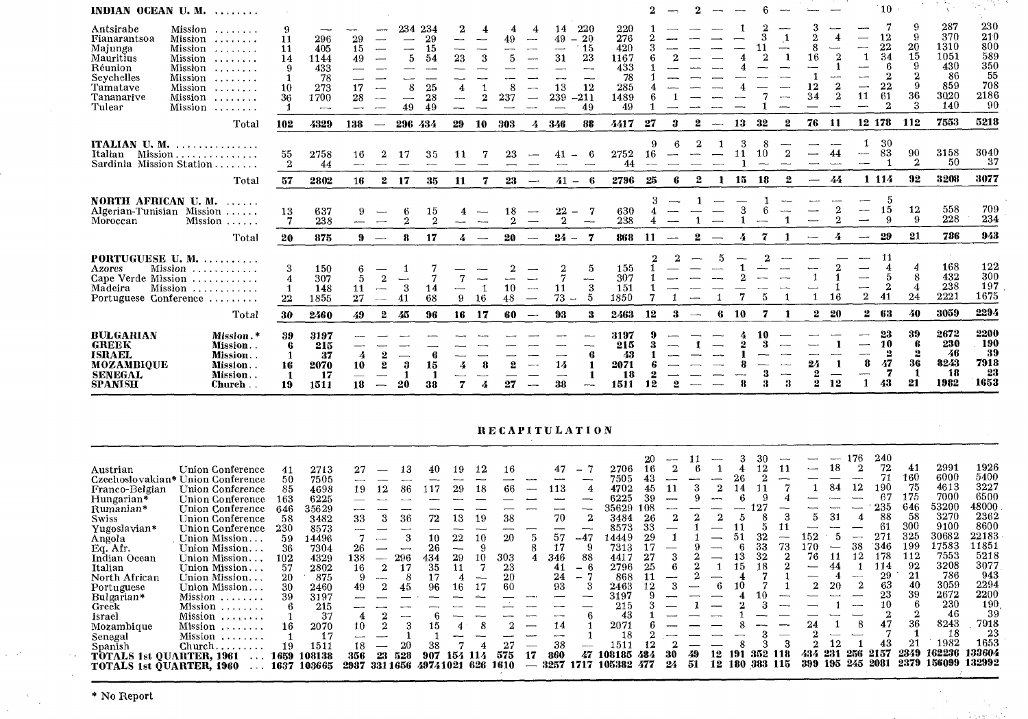| INDIAN OCEAN U.M.                                                                                              |                                                                                                                               |                                            |                                                         |                            |                          |                     |                                                   |                |                          |                |                                          |                                                                           |                                    |                                                             |     |    |                          |                          |    |     |                                    |                          |                                                  |                               | $^{\circ}10$ .                                         |                                |                                                               |                                                             |
|----------------------------------------------------------------------------------------------------------------|-------------------------------------------------------------------------------------------------------------------------------|--------------------------------------------|---------------------------------------------------------|----------------------------|--------------------------|---------------------|---------------------------------------------------|----------------|--------------------------|----------------|------------------------------------------|---------------------------------------------------------------------------|------------------------------------|-------------------------------------------------------------|-----|----|--------------------------|--------------------------|----|-----|------------------------------------|--------------------------|--------------------------------------------------|-------------------------------|--------------------------------------------------------|--------------------------------|---------------------------------------------------------------|-------------------------------------------------------------|
| Antsirabe<br>Fianarantsoa<br>Majunga<br>Mauritius<br>Réunion<br>Sevchelles<br>Tamatave<br>Tananarive<br>Tulear | Mission<br>$Mission$<br>Mission<br>Mission<br>Mission<br>Mission<br>$Mission$<br>Mission<br>Mission<br>$\ldots \ldots \ldots$ | 9<br>11<br>11<br>14<br>9<br>10<br>36<br>-1 | 296<br>405<br>1144<br>433<br>78<br>273<br>1700<br>ومسوء | 29<br>15<br>49<br>17<br>28 |                          | 234<br>5<br>8<br>49 | -234<br>29<br>15<br>54<br>مستند<br>25<br>28<br>49 | 23<br>4<br>--- | 4<br>3<br>$\overline{2}$ | 49<br>8<br>237 | $\sim$<br>--<br>$\overline{\phantom{0}}$ | 14<br>49<br>$-$<br>$^{\circ}$ 15<br>--<br>31<br>--<br>13<br>239<br>$-211$ | 220<br>20<br>23<br>---<br>12<br>49 | 220<br>276<br>420<br>1167<br>433<br>78<br>285<br>1489<br>49 |     |    |                          |                          |    |     | ---                                | ሳ<br>8<br>16<br>12<br>34 | سيد<br>$\overline{2}$<br>$\overline{\mathbf{2}}$ | —<br>-1<br>$\sim$<br>—-<br>11 | 12<br>22<br>34<br>6<br>2<br>22<br>61<br>$\mathfrak{D}$ | -9<br>20<br>15<br>9<br>36<br>3 | 287<br>370<br>1310<br>1051<br>430<br>86<br>859<br>3020<br>140 | 230<br>210<br>800<br>589<br>350<br>55<br>708<br>2186<br>-90 |
|                                                                                                                | Total                                                                                                                         | 102                                        | 4329                                                    | 138                        | $\overline{\phantom{a}}$ | 296 434             |                                                   | 29             | 10                       | 303            | 4                                        | 346                                                                       | -88                                | 4417                                                        | 27  | 3  |                          | $\overline{\phantom{a}}$ | 13 | -32 | 2                                  | 76                       | -11                                              |                               | 12 178                                                 | 112                            | 7553                                                          | 5218                                                        |
| ITALIAN U.M.<br>Italian<br>Sardinia Mission Station                                                            | .<br>Mission<br>$\cdots$                                                                                                      | 55<br>$\boldsymbol{2}$                     | 2758<br>44                                              | 16                         |                          |                     | 35                                                |                |                          | 23             |                                          |                                                                           |                                    | 2752<br>44                                                  | 16. |    |                          |                          |    | 10  |                                    |                          |                                                  | --                            | 30<br>83                                               | 90<br>$\overline{2}$           | 3158<br>-50                                                   | 3040<br>37                                                  |
|                                                                                                                | Total                                                                                                                         | 57                                         | 2802                                                    | 16                         | 2                        | 17                  | 35                                                | 11             | 7                        | 23             | $\overline{\phantom{a}}$                 | $41 -$                                                                    | - 6                                | 2796                                                        | 25  | -6 | 2                        |                          | 15 | 18  | 2                                  | --                       | 44                                               |                               | 1 1 1 4                                                | 92                             | 3208                                                          | 3077                                                        |
| NORTH AFRICAN U.M.<br>Algerian-Tunisian Mission<br>Moroccan                                                    | $\cdots$<br>Mission<br>$\sim$ $\sim$ $\sim$ $\sim$ $\sim$                                                                     | 13<br>7                                    | 637<br>238                                              | 9                          |                          | 2                   | 15<br>2                                           |                |                          | 18             |                                          | 22<br>$2^{\circ}$                                                         | $\overline{\phantom{m}}$           | 630<br>238                                                  |     |    |                          |                          |    |     |                                    |                          |                                                  |                               | 15<br>9                                                | 12<br>9                        | 558<br>228                                                    | 709<br>234                                                  |
|                                                                                                                | Total                                                                                                                         | 20                                         | 875                                                     | 9                          | $\overline{\phantom{a}}$ | 8                   | 17                                                |                |                          | 20             |                                          | $24 -$                                                                    | 7                                  | 868                                                         | 11  |    | $\mathbf{2}$             |                          |    |     |                                    |                          |                                                  |                               | 29                                                     | 21                             | 786                                                           | 943                                                         |
| PORTUGUESE U.M.<br>Azores<br>Cape Verde Mission<br>Madeira<br>Portuguese Conference                            | . <i>. .</i> .<br>Mission<br>Mission                                                                                          | 3<br>4<br>22                               | 150<br>307<br>148<br>1855                               | 11<br>27                   | --                       | 3                   | 14<br>68                                          | 9              | 16                       | 10<br>48       | $\sim$<br>$-\!$                          | 11<br>$73 -$                                                              | 5<br>---<br>-3<br>.5               | 155<br>307<br>151<br>1850                                   |     |    |                          |                          |    |     |                                    |                          | 16                                               | ---<br>$\overline{2}$         | $\mathbf{2}$<br>41                                     | 24                             | 168<br>432<br>238<br>2221                                     | 122<br>300<br>197<br>1675                                   |
|                                                                                                                | Total                                                                                                                         | 30                                         | 2460                                                    | 49                         | $\mathbf{2}$             | 45                  | 96                                                | 16             | -17                      | 60             | $\longrightarrow$                        | 93                                                                        | -3                                 | 2463                                                        | 12  | 3  | $\overline{\phantom{a}}$ | -6                       | 10 | 7   |                                    |                          | $2\quad 20$                                      | $\bf{2}^-$                    | - 63                                                   | 40                             | 3059                                                          | 2294                                                        |
| <b>BULGARIAN</b><br><b>GREEK</b><br><b>ISRAEL</b><br>MOZAMBIOUE<br><b>SENEGAL</b><br><b>SPANISH</b>            | Mission.*<br>Mission<br>Mission<br>Mission<br>Mission.<br>Church                                                              | -39<br>6<br>16<br>$\mathbf{1}$<br>19       | 3197<br>215<br>-37<br>2070<br>17<br>1511                | 4<br>10<br>18              |                          | 3<br>20             | 15<br>38                                          |                | 8                        |                |                                          | 14<br>38                                                                  |                                    | 3197<br>215<br>43<br>2071<br>18<br>1511                     |     |    |                          |                          |    |     | <b>Service</b><br>$\boldsymbol{3}$ | 9                        | 12                                               | 8                             | 23<br>10<br>2<br>47<br>43                              | 39<br>2<br>36<br>21            | 2672<br>230<br>-46<br>8243<br>18<br>1982                      | 2200<br>190<br>-39<br>7918<br>-23<br>1653                   |

Architectural

75 G. A.

#### **RECAPITULATION**

| Austrian<br>Franco-Belgian<br>Hungarian*<br>Rumanian*<br><b>Swiss</b><br>Yugoslavian*<br>Angola<br>Eq. Afr.<br>Indian Ocean | Union Conference<br>Czechoslovakian* Union Conference<br>Union Conference<br>Union Conference<br>Union Conference<br>Union Conference<br>Union Conference<br>Union Mission.<br>Union Mission<br>Union Mission. | 41<br>50<br>85<br>163<br>646<br>58<br>230<br>59<br>36<br>102 | 2713<br>7505<br>4698<br>6225<br>35629<br>3482<br>8573<br>14496<br>7304<br>4329 | 27<br>---<br>19<br>33<br>26<br>138 | 12<br>3<br>$\frac{1}{2} \left( \frac{1}{2} \right) \left( \frac{1}{2} \right) \left( \frac{1}{2} \right) \left( \frac{1}{2} \right) \left( \frac{1}{2} \right) \left( \frac{1}{2} \right) \left( \frac{1}{2} \right) \left( \frac{1}{2} \right) \left( \frac{1}{2} \right) \left( \frac{1}{2} \right) \left( \frac{1}{2} \right) \left( \frac{1}{2} \right) \left( \frac{1}{2} \right) \left( \frac{1}{2} \right) \left( \frac{1}{2} \right) \left( \frac{1}{2} \right) \left( \frac$ | 13<br>-86<br>36<br>296 | 40<br>-17<br>72<br>10.<br>26<br>434 | 19<br>29<br>13<br>22<br>29 | 18<br>19<br>10 | 16<br>66<br>38<br>20<br>303 | 47<br>113<br>70<br>57<br>346 | $\rightarrow$<br>$-47$<br>88  | 2706<br>7505<br>4702<br>6225<br>35629<br>3484<br>8573<br>14449<br>7313<br>4417 | 108<br>26   |    |    |          | 13         | 33             | 73   | $\overline{\phantom{a}}$<br>Ð.<br>152<br>70<br>76 | 18<br>84<br>31 | 12<br>-4<br>38 | 240<br>72<br>190<br>235<br>88<br>'346<br>178 | 41<br>160<br>75<br>175<br>646<br>58<br>300<br>325<br>199<br>112 | 2991<br>6000<br>4613<br>7000<br>53200<br>3270<br>9100<br>30682<br>17583<br>7553 | 1926<br>5400<br>3227<br>6500<br>48000<br>2362<br>8600<br>22183<br>11851<br>5218 |
|-----------------------------------------------------------------------------------------------------------------------------|----------------------------------------------------------------------------------------------------------------------------------------------------------------------------------------------------------------|--------------------------------------------------------------|--------------------------------------------------------------------------------|------------------------------------|---------------------------------------------------------------------------------------------------------------------------------------------------------------------------------------------------------------------------------------------------------------------------------------------------------------------------------------------------------------------------------------------------------------------------------------------------------------------------------------|------------------------|-------------------------------------|----------------------------|----------------|-----------------------------|------------------------------|-------------------------------|--------------------------------------------------------------------------------|-------------|----|----|----------|------------|----------------|------|---------------------------------------------------|----------------|----------------|----------------------------------------------|-----------------------------------------------------------------|---------------------------------------------------------------------------------|---------------------------------------------------------------------------------|
| Italian<br>North African<br>Portuguese<br>Bulgarian*<br>Greek<br>Israel<br>Mozambique<br>Senegal                            | Union Mission<br>Union Mission.<br>Union Mission.<br>Mission<br>Mission<br>Mission<br>Mission<br>Mission                                                                                                       | 57<br>20<br>30<br>39<br>16                                   | 2802<br>875<br>2460<br>3197<br>215<br>37<br>2070<br>17                         | 16<br>49<br>10<br>---              |                                                                                                                                                                                                                                                                                                                                                                                                                                                                                       |                        | 35<br>96                            | ın                         |                | 23<br>$_{20}$<br>60         | 41<br>24<br>93<br>14         | $\overline{\phantom{0}}$<br>- | 2796<br>868<br>2463<br>3197<br>215<br>43<br>2071<br>18                         | 25          |    |    |          | ۱ħ<br>10   | 18             |      |                                                   | 20             |                | 14<br>29<br>63<br>23<br>10                   | -92<br>21<br>40<br>39<br>36<br>$2^{\circ}$                      | 3208<br>786<br>3059<br>2672<br>230<br>46<br>8243<br>18<br>1982                  | 3077<br>943<br>2294<br>2200<br>190<br>39<br>7918<br>23<br>1653                  |
| Spanish<br><b>TOTALS 1st QUARTER, 1961</b><br>TOTALS 1st OUARTER, 1960                                                      | Church                                                                                                                                                                                                         | 19<br>1659<br>1637                                           | 1511<br>108138<br>103665                                                       | 18<br>356<br>2987                  | 23<br>331 1656                                                                                                                                                                                                                                                                                                                                                                                                                                                                        | 528                    | 49741021                            | 154                        | 114<br>626     | 575<br>1610                 | -38<br>860<br>3257           | 47<br>1717                    | 1511<br>108185<br>105382                                                       | 484<br>-477 | 24 | 51 | 12<br>12 | 191<br>180 | 352<br>383 115 | -118 | 434<br>399                                        | -231<br>195    | -256<br>245    | 2157<br>2081                                 | 2349<br>2379                                                    | 162236<br>156099                                                                | 133604<br>132992                                                                |

**\* No** Report